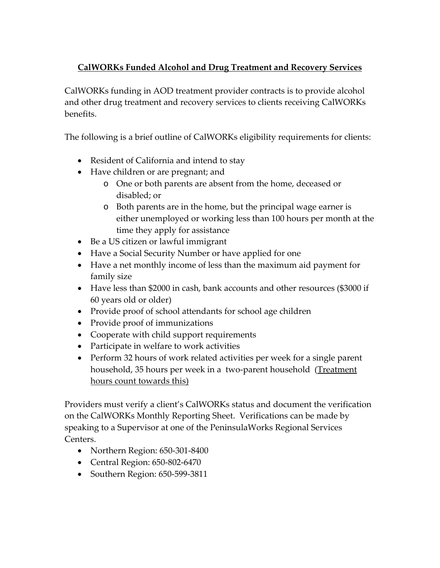## **CalWORKs Funded Alcohol and Drug Treatment and Recovery Services**

CalWORKs funding in AOD treatment provider contracts is to provide alcohol and other drug treatment and recovery services to clients receiving CalWORKs benefits.

The following is a brief outline of CalWORKs eligibility requirements for clients:

- Resident of California and intend to stay
- Have children or are pregnant; and
	- o One or both parents are absent from the home, deceased or disabled; or
	- o Both parents are in the home, but the principal wage earner is either unemployed or working less than 100 hours per month at the time they apply for assistance
- Be a US citizen or lawful immigrant
- Have a Social Security Number or have applied for one
- Have a net monthly income of less than the maximum aid payment for family size
- Have less than \$2000 in cash, bank accounts and other resources (\$3000 if 60 years old or older)
- Provide proof of school attendants for school age children
- Provide proof of immunizations
- Cooperate with child support requirements
- Participate in welfare to work activities
- Perform 32 hours of work related activities per week for a single parent household, 35 hours per week in a two-parent household (Treatment hours count towards this)

Providers must verify a client's CalWORKs status and document the verification on the CalWORKs Monthly Reporting Sheet. Verifications can be made by speaking to a Supervisor at one of the PeninsulaWorks Regional Services Centers.

- Northern Region: 650-301-8400
- Central Region: 650-802-6470
- Southern Region: 650-599-3811